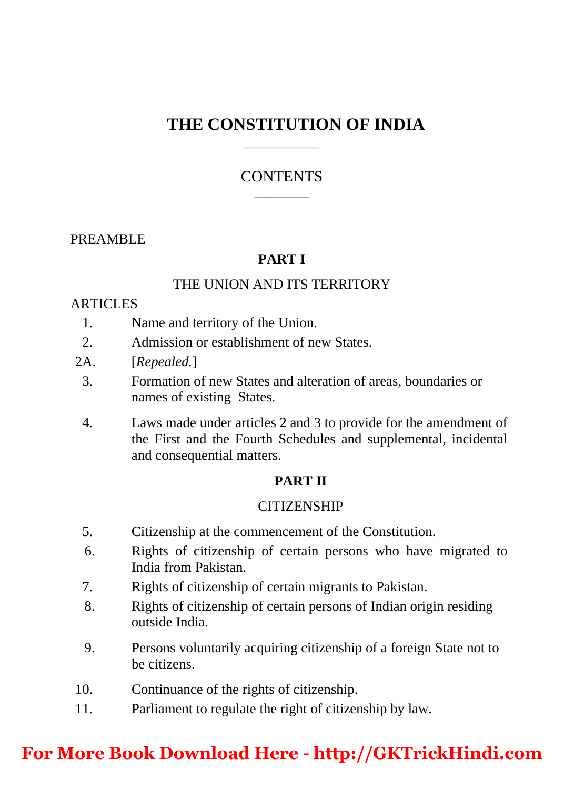## **THE CONSTITUTION OF INDIA**

#### **CONTENTS**  $\overline{\phantom{a}}$

\_\_\_\_\_\_\_\_\_\_\_\_

### PREAMBLE

### **PART I**

## THE UNION AND ITS TERRITORY

#### **ARTICLES**

- 1. Name and territory of the Union.
- 2. Admission or establishment of new States.
- 2A. [*Repealed.*]
	- 3. Formation of new States and alteration of areas, boundaries or names of existing States.
	- 4. Laws made under articles 2 and 3 to provide for the amendment of the First and the Fourth Schedules and supplemental, incidental and consequential matters.

#### **PART II**

#### **CITIZENSHIP**

- 5. Citizenship at the commencement of the Constitution.
- 6. Rights of citizenship of certain persons who have migrated to India from Pakistan.
- 7. Rights of citizenship of certain migrants to Pakistan.
- 8. Rights of citizenship of certain persons of Indian origin residing outside India.
- 9. Persons voluntarily acquiring citizenship of a foreign State not to be citizens.
- 10. Continuance of the rights of citizenship.
- 11. Parliament to regulate the right of citizenship by law.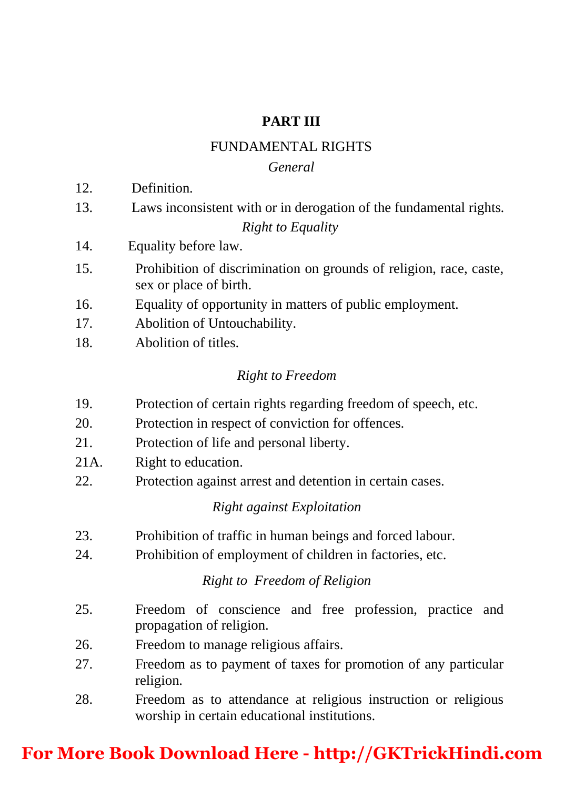### **PART III**

### FUNDAMENTAL RIGHTS

#### *General*

- 12. Definition.
- 13. Laws inconsistent with or in derogation of the fundamental rights. *Right to Equality*
- 14. Equality before law.
- 15. Prohibition of discrimination on grounds of religion, race, caste, sex or place of birth.
- 16. Equality of opportunity in matters of public employment.
- 17. Abolition of Untouchability.
- 18. Abolition of titles.

### *Right to Freedom*

- 19. Protection of certain rights regarding freedom of speech, etc.
- 20. Protection in respect of conviction for offences.
- 21. Protection of life and personal liberty.
- 21A. Right to education.
- 22. Protection against arrest and detention in certain cases.

### *Right against Exploitation*

- 23. Prohibition of traffic in human beings and forced labour.
- 24. Prohibition of employment of children in factories, etc.

### *Right to Freedom of Religion*

- 25. Freedom of conscience and free profession, practice and propagation of religion.
- 26. Freedom to manage religious affairs.
- 27. Freedom as to payment of taxes for promotion of any particular religion.
- 28. Freedom as to attendance at religious instruction or religious worship in certain educational institutions.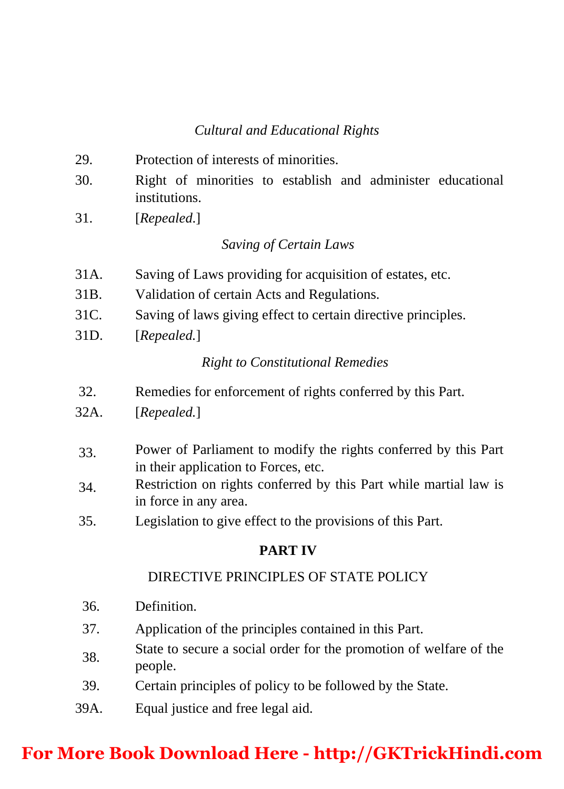## *Cultural and Educational Rights*

- 29. Protection of interests of minorities.
- 30. Right of minorities to establish and administer educational institutions.
- 31. [*Repealed*.]

### *Saving of Certain Laws*

- 31A. Saving of Laws providing for acquisition of estates, etc.
- 31B. Validation of certain Acts and Regulations.
- 31C. Saving of laws giving effect to certain directive principles.
- 31D. [*Repealed.*]

### *Right to Constitutional Remedies*

- 32. Remedies for enforcement of rights conferred by this Part.
- 32A. [*Repealed.*]
- 33. Power of Parliament to modify the rights conferred by this Part in their application to Forces, etc.
- 34. Restriction on rights conferred by this Part while martial law is in force in any area.
- 35. Legislation to give effect to the provisions of this Part.

### **PART IV**

### DIRECTIVE PRINCIPLES OF STATE POLICY

- 36. Definition.
- 37. Application of the principles contained in this Part.
- 38. State to secure a social order for the promotion of welfare of the people.
- 39. Certain principles of policy to be followed by the State.
- 39A. Equal justice and free legal aid.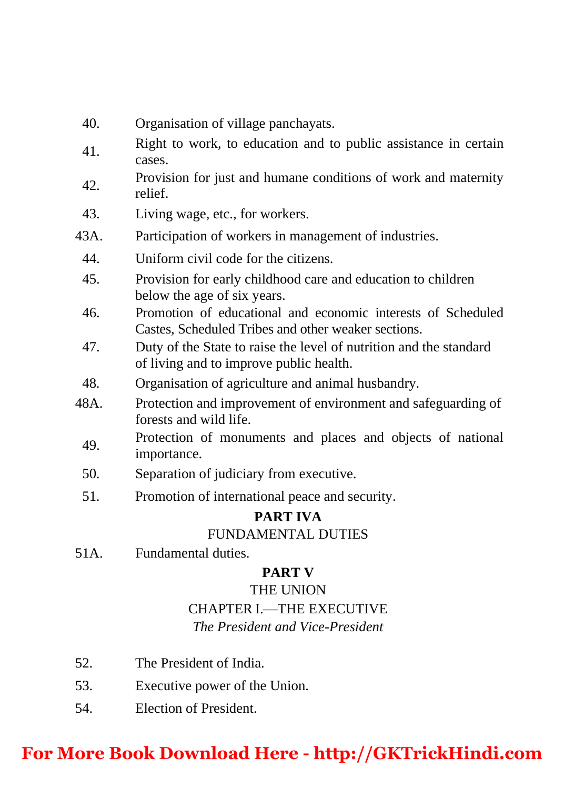- 40. Organisation of village panchayats.
- 41. Right to work, to education and to public assistance in certain cases.
- 42. Provision for just and humane conditions of work and maternity relief.
- 43. Living wage, etc., for workers.
- 43A. Participation of workers in management of industries.
	- 44. Uniform civil code for the citizens.
	- 45. Provision for early childhood care and education to children below the age of six years.
	- 46. Promotion of educational and economic interests of Scheduled Castes, Scheduled Tribes and other weaker sections.
	- 47. Duty of the State to raise the level of nutrition and the standard of living and to improve public health.
	- 48. Organisation of agriculture and animal husbandry.
- 48A. Protection and improvement of environment and safeguarding of forests and wild life.
	- 49. Protection of monuments and places and objects of national importance.
	- 50. Separation of judiciary from executive.
	- 51. Promotion of international peace and security.

## **PART IVA**

## FUNDAMENTAL DUTIES

51A. Fundamental duties.

## **PART V**

### THE UNION

## CHAPTER I .....THE EXECUTIVE

## *The President and Vice-President*

- 52. The President of India.
- 53. Executive power of the Union.
- 54. Election of President.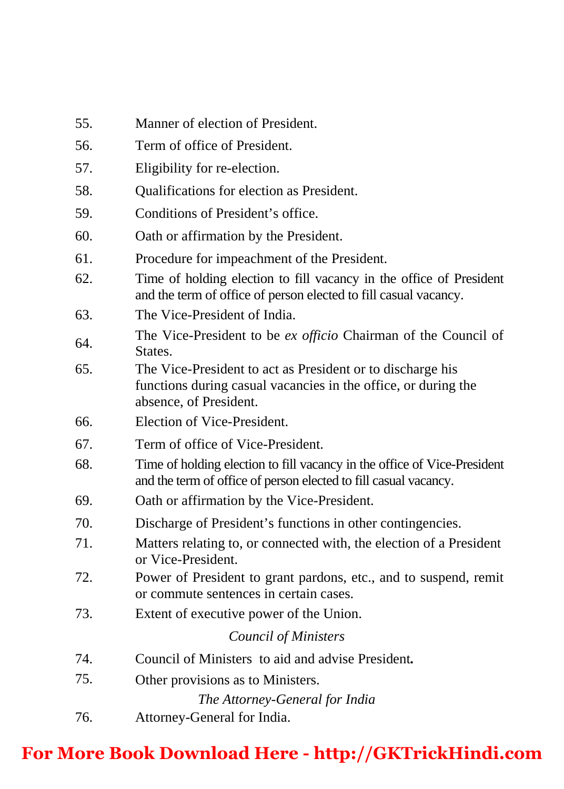- 55. Manner of election of President.
- 56. Term of office of President.
- 57. Eligibility for re-election.
- 58. Qualifications for election as President.
- 59. Conditions of President's office.
- 60. Oath or affirmation by the President.
- 61. Procedure for impeachment of the President.
- 62. Time of holding election to fill vacancy in the office of President and the term of office of person elected to fill casual vacancy.
- 63. The Vice-President of India.
- 64. The Vice-President to be *ex officio* Chairman of the Council of States.
- 65. The Vice-President to act as President or to discharge his functions during casual vacancies in the office, or during the absence, of President.
- 66. Election of Vice-President.
- 67. Term of office of Vice-President.
- 68. Time of holding election to fill vacancy in the office of Vice-President and the term of office of person elected to fill casual vacancy.
- 69. Oath or affirmation by the Vice-President.
- 70. Discharge of President's functions in other contingencies.
- 71. Matters relating to, or connected with, the election of a President or Vice-President.
- 72. Power of President to grant pardons, etc., and to suspend, remit or commute sentences in certain cases.
- 73. Extent of executive power of the Union.

#### *Council of Ministers*

- 74. Council of Ministers to aid and advise President**.**
- 75. Other provisions as to Ministers.

*The Attorney-General for India*

76. Attorney-General for India.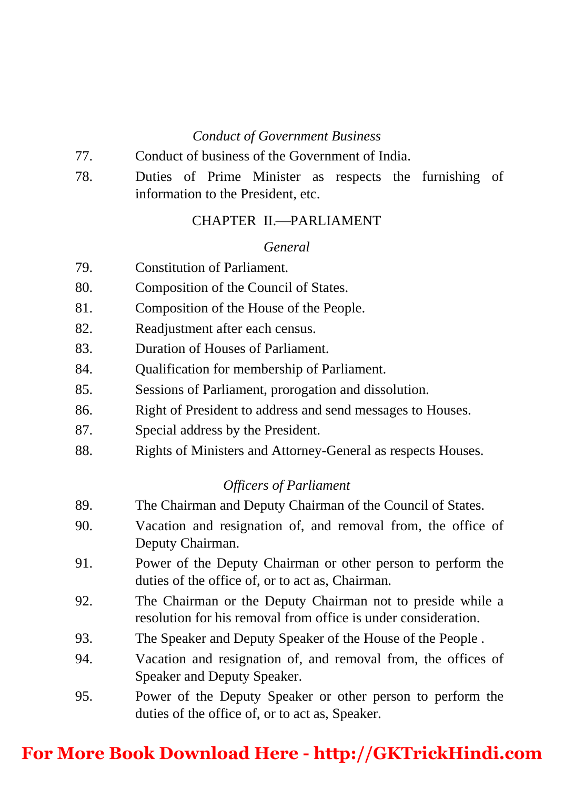### *Conduct of Government Business*

- 77. Conduct of business of the Government of India.
- 78. Duties of Prime Minister as respects the furnishing of information to the President, etc.

### CHAPTER II-PARLIAMENT

#### *General*

- 79. Constitution of Parliament.
- 80. Composition of the Council of States.
- 81. Composition of the House of the People.
- 82. Readjustment after each census.
- 83. Duration of Houses of Parliament.
- 84. Qualification for membership of Parliament.
- 85. Sessions of Parliament, prorogation and dissolution.
- 86. Right of President to address and send messages to Houses.
- 87. Special address by the President.
- 88. Rights of Ministers and Attorney-General as respects Houses.

### *Officers of Parliament*

- 89. The Chairman and Deputy Chairman of the Council of States.
- 90. Vacation and resignation of, and removal from, the office of Deputy Chairman.
- 91. Power of the Deputy Chairman or other person to perform the duties of the office of, or to act as, Chairman.
- 92. The Chairman or the Deputy Chairman not to preside while a resolution for his removal from office is under consideration.
- 93. The Speaker and Deputy Speaker of the House of the People .
- [94. Vacation and resignation of, and removal from, the offices of](https://goo.gl/NgRs1S)  Speaker and Deputy Speaker.
- 95. Power of the Deputy Speaker or other person to perform the duties of the office of, or to act as, Speaker.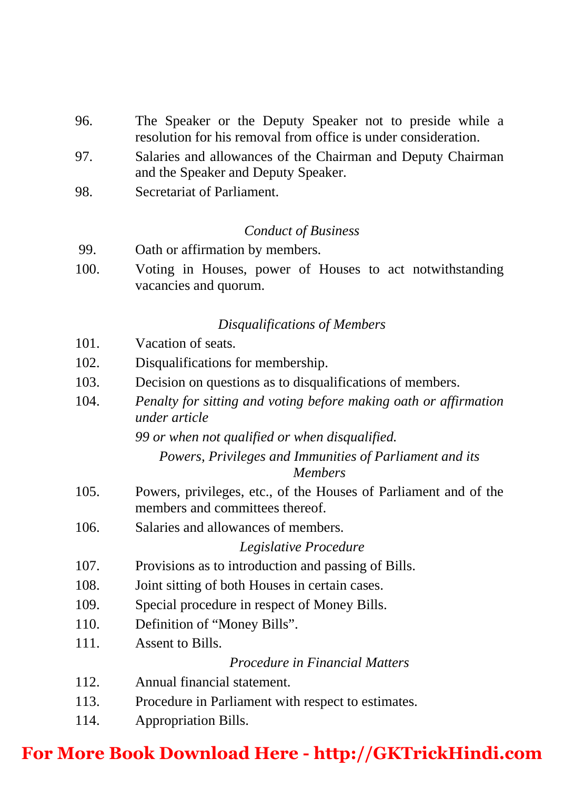- 96. The Speaker or the Deputy Speaker not to preside while a resolution for his removal from office is under consideration.
- 97. Salaries and allowances of the Chairman and Deputy Chairman and the Speaker and Deputy Speaker.
- 98. Secretariat of Parliament.

#### *Conduct of Business*

- 99. Oath or affirmation by members.
- 100. Voting in Houses, power of Houses to act notwithstanding vacancies and quorum.

### *Disqualifications of Members*

- 101 Vacation of seats.
- 102. Disqualifications for membership.
- 103. Decision on questions as to disqualifications of members.
- 104. *Penalty for sitting and voting before making oath or affirmation under article*

*99 or when not qualified or when disqualified.* 

*Powers, Privileges and Immunities of Parliament and its Members*

- 105. Powers, privileges, etc., of the Houses of Parliament and of the members and committees thereof.
- 106. Salaries and allowances of members.

### *Legislative Procedure*

- 107. Provisions as to introduction and passing of Bills.
- 108. Joint sitting of both Houses in certain cases.
- 109. Special procedure in respect of Money Bills.
- 110. Definition of "Money Bills".
- 111. Assent to Bills.

### *Procedure in Financial Matters*

- 112. Annual financial statement.
- 113. Procedure in Parliament with respect to estimates.
- 114. Appropriation Bills.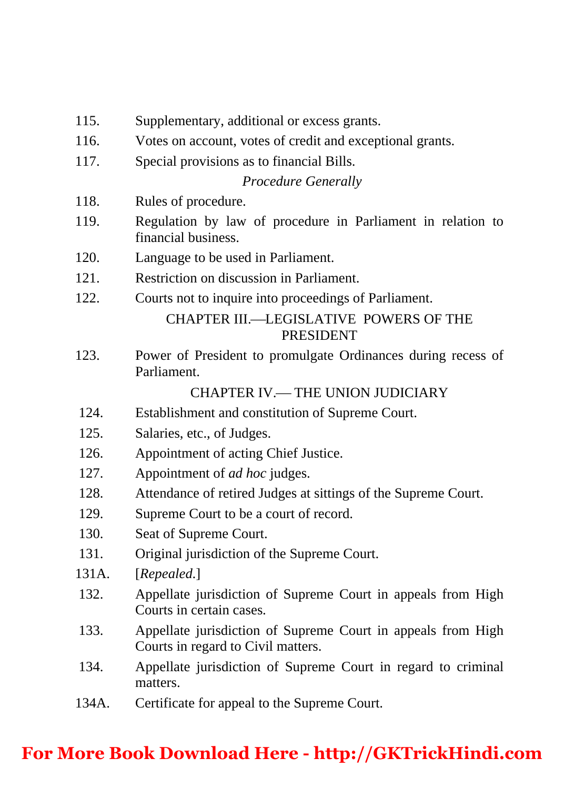- 115. Supplementary, additional or excess grants.
- 116. Votes on account, votes of credit and exceptional grants.
- 117. Special provisions as to financial Bills.

### *Procedure Generally*

- 118. Rules of procedure.
- 119. Regulation by law of procedure in Parliament in relation to financial business.
- 120. Language to be used in Parliament.
- 121. Restriction on discussion in Parliament.
- 122. Courts not to inquire into proceedings of Parliament.

## CHAPTER III.—LEGISLATIVE POWERS OF THE PRESIDENT

123. Power of President to promulgate Ordinances during recess of Parliament.

### CHAPTER IV - THE UNION JUDICIARY

- 124. Establishment and constitution of Supreme Court.
- 125. Salaries, etc., of Judges.
- 126. Appointment of acting Chief Justice.
- 127. Appointment of *ad hoc* judges.
- 128. Attendance of retired Judges at sittings of the Supreme Court.
- 129. Supreme Court to be a court of record.
- 130. Seat of Supreme Court.
- 131. Original jurisdiction of the Supreme Court.
- 131A. [*Repealed*.]
- 132. Appellate jurisdiction of Supreme Court in appeals from High Courts in certain cases.
- 133. Appellate jurisdiction of Supreme Court in appeals from High Courts in regard to Civil matters.
- 134. Appellate jurisdiction of Supreme Court in regard to criminal matters.
- 134A. Certificate for appeal to the Supreme Court.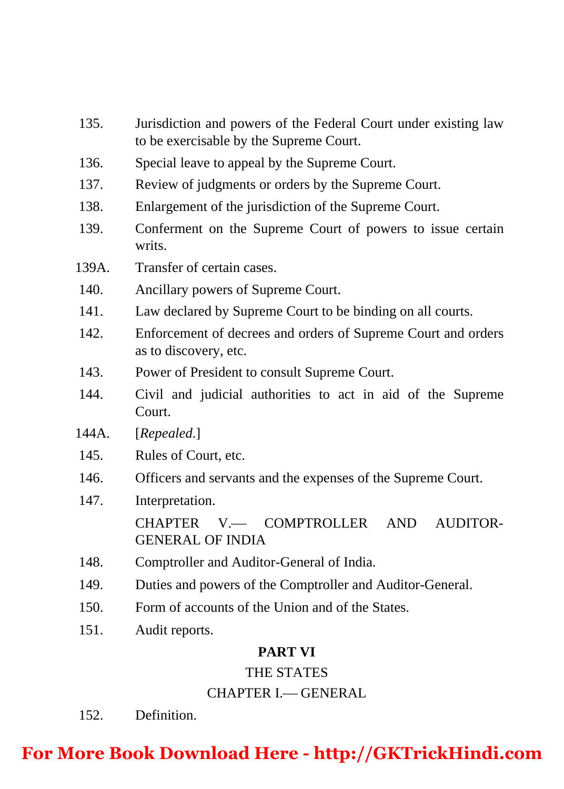- 135. Jurisdiction and powers of the Federal Court under existing law to be exercisable by the Supreme Court.
- 136. Special leave to appeal by the Supreme Court.
- 137. Review of judgments or orders by the Supreme Court.
- 138. Enlargement of the jurisdiction of the Supreme Court.
- 139. Conferment on the Supreme Court of powers to issue certain writs.
- 139A. Transfer of certain cases.
- 140. Ancillary powers of Supreme Court.
- 141. Law declared by Supreme Court to be binding on all courts.
- 142. Enforcement of decrees and orders of Supreme Court and orders as to discovery, etc.
- 143. Power of President to consult Supreme Court.
- 144. Civil and judicial authorities to act in aid of the Supreme Court.
- 144A. [*Repealed*.]
- 145. Rules of Court, etc.
- 146. Officers and servants and the expenses of the Supreme Court.
- 147. Interpretation.

CHAPTER V- COMPTROLLER AND AUDITOR-GENERAL OF INDIA

- 148. Comptroller and Auditor-General of India.
- 149. Duties and powers of the Comptroller and Auditor-General.
- 150. Form of accounts of the Union and of the States.
- 151. Audit reports.

## **PART VI**

## THE STATES

## CHAPTER I. GENERAL

152. Definition.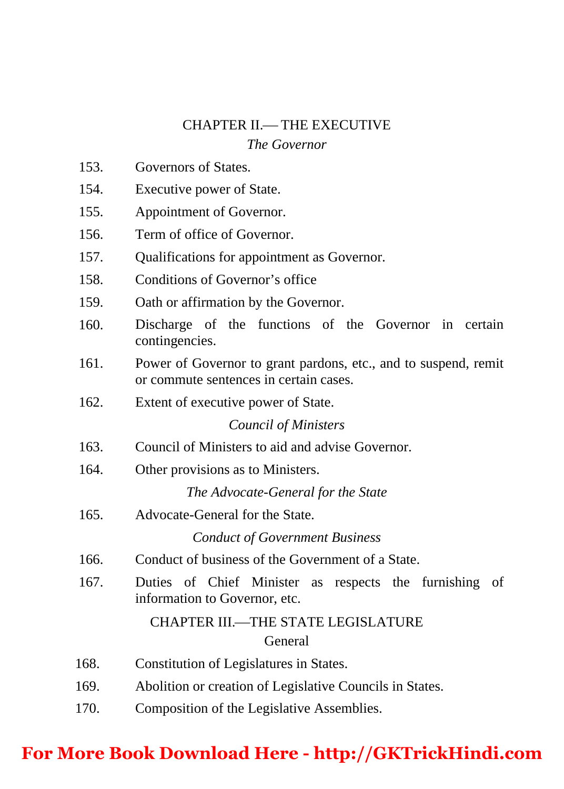#### CHAPTER II. THE EXECUTIVE

#### *The Governor*

- 153. Governors of States.
- 154. Executive power of State.
- 155. Appointment of Governor.
- 156. Term of office of Governor.
- 157. Qualifications for appointment as Governor.
- 158. Conditions of Governor's office
- 159. Oath or affirmation by the Governor.
- 160. Discharge of the functions of the Governor in certain contingencies.
- 161. Power of Governor to grant pardons, etc., and to suspend, remit or commute sentences in certain cases.
- 162. Extent of executive power of State.

*Council of Ministers*

- 163. Council of Ministers to aid and advise Governor.
- 164. Other provisions as to Ministers.

*The Advocate-General for the State*

165. Advocate-General for the State.

*Conduct of Government Business*

- 166. Conduct of business of the Government of a State.
- 167. Duties of Chief Minister as respects the furnishing of information to Governor, etc.

### CHAPTER III.—THE STATE LEGISLATURE General

- 168. Constitution of Legislatures in States.
- 169. Abolition or creation of Legislative Councils in States.
- 170. Composition of the Legislative Assemblies.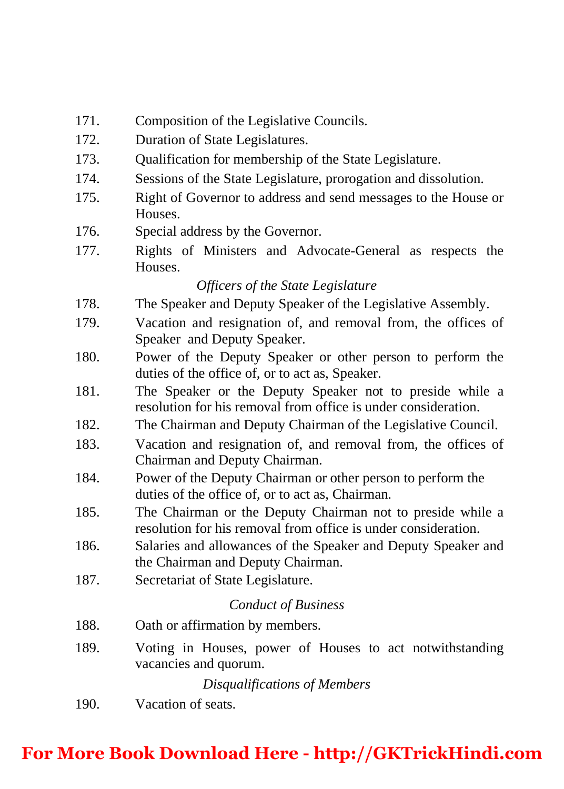- 171. Composition of the Legislative Councils.
- 172. Duration of State Legislatures.
- 173. Qualification for membership of the State Legislature.
- 174. Sessions of the State Legislature, prorogation and dissolution.
- 175. Right of Governor to address and send messages to the House or Houses.
- 176. Special address by the Governor.
- 177. Rights of Ministers and Advocate-General as respects the **Houses**

### *Officers of the State Legislature*

- 178. The Speaker and Deputy Speaker of the Legislative Assembly.
- 179. Vacation and resignation of, and removal from, the offices of Speaker and Deputy Speaker.
- 180. Power of the Deputy Speaker or other person to perform the duties of the office of, or to act as, Speaker.
- 181. The Speaker or the Deputy Speaker not to preside while a resolution for his removal from office is under consideration.
- 182. The Chairman and Deputy Chairman of the Legislative Council.
- 183. Vacation and resignation of, and removal from, the offices of Chairman and Deputy Chairman.
- 184. Power of the Deputy Chairman or other person to perform the duties of the office of, or to act as, Chairman.
- 185. The Chairman or the Deputy Chairman not to preside while a resolution for his removal from office is under consideration.
- 186. Salaries and allowances of the Speaker and Deputy Speaker and the Chairman and Deputy Chairman.
- 187. Secretariat of State Legislature.

#### *Conduct of Business*

- 188. Oath or affirmation by members.
- 189. Voting in Houses, power of Houses to act notwithstanding vacancies and quorum.

*Disqualifications of Members*

190. Vacation of seats.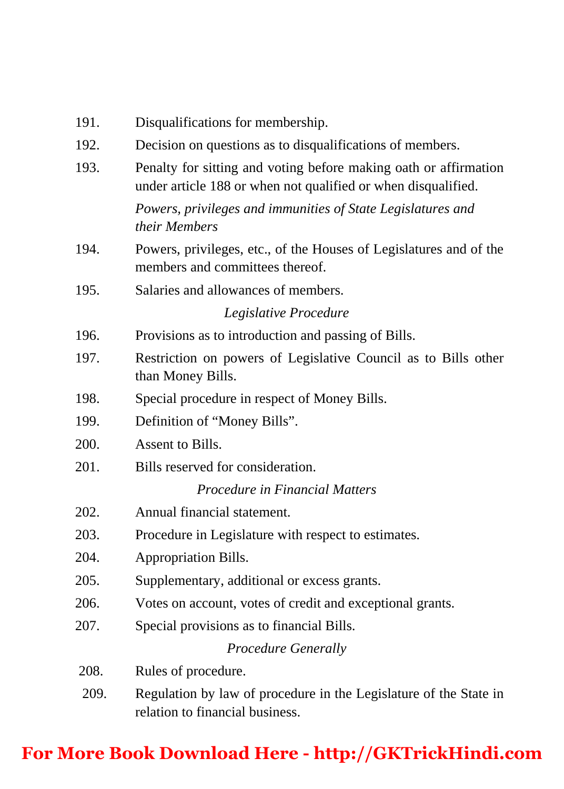| 191.                  | Disqualifications for membership.                                                                                                 |
|-----------------------|-----------------------------------------------------------------------------------------------------------------------------------|
| 192.                  | Decision on questions as to disqualifications of members.                                                                         |
| 193.                  | Penalty for sitting and voting before making oath or affirmation<br>under article 188 or when not qualified or when disqualified. |
|                       | Powers, privileges and immunities of State Legislatures and<br>their Members                                                      |
| 194.                  | Powers, privileges, etc., of the Houses of Legislatures and of the<br>members and committees thereof.                             |
| 195.                  | Salaries and allowances of members.                                                                                               |
| Legislative Procedure |                                                                                                                                   |
| 196.                  | Provisions as to introduction and passing of Bills.                                                                               |
| 197.                  | Restriction on powers of Legislative Council as to Bills other<br>than Money Bills.                                               |
| 198.                  | Special procedure in respect of Money Bills.                                                                                      |
| 199.                  | Definition of "Money Bills".                                                                                                      |
| 200.                  | Assent to Bills.                                                                                                                  |
| 201.                  | Bills reserved for consideration.                                                                                                 |
|                       | Procedure in Financial Matters                                                                                                    |
| 202.                  | Annual financial statement.                                                                                                       |
| 203.                  | Procedure in Legislature with respect to estimates.                                                                               |
| 204.                  | Appropriation Bills.                                                                                                              |
| 205.                  | Supplementary, additional or excess grants.                                                                                       |
| 206.                  | Votes on account, votes of credit and exceptional grants.                                                                         |
| 207.                  | Special provisions as to financial Bills.                                                                                         |
| Procedure Generally   |                                                                                                                                   |
| 208.                  | Rules of procedure.                                                                                                               |
| 209.                  | Regulation by law of procedure in the Legislature of the State in<br>relation to financial business.                              |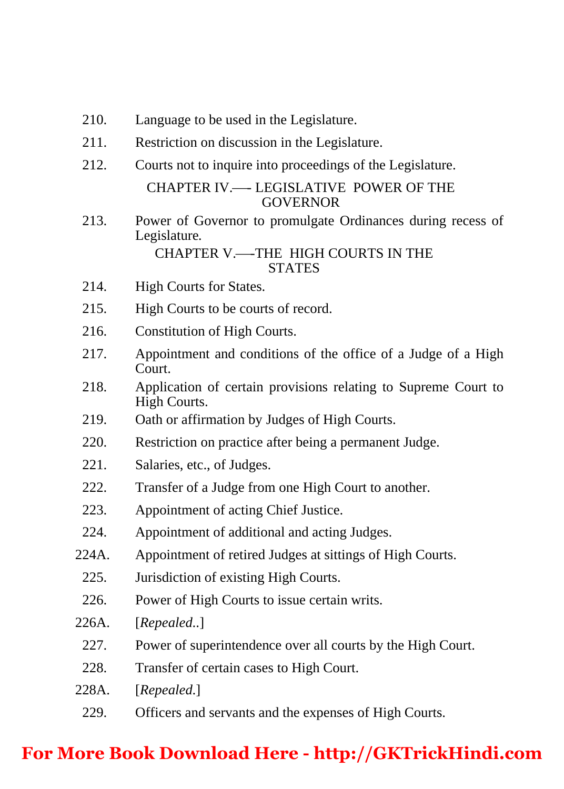- 210. Language to be used in the Legislature.
- 211. Restriction on discussion in the Legislature.
- 212. Courts not to inquire into proceedings of the Legislature.

#### CHAPTER IV.- LEGISLATIVE POWER OF THE **GOVERNOR**

 213. Power of Governor to promulgate Ordinances during recess of Legislature*.* 

#### CHAPTER V.-THE HIGH COURTS IN THE **STATES**

- 214. High Courts for States.
- 215. High Courts to be courts of record.
- 216. Constitution of High Courts.
- 217. Appointment and conditions of the office of a Judge of a High Court.
- 218. Application of certain provisions relating to Supreme Court to High Courts.
- 219. Oath or affirmation by Judges of High Courts.
- 220. Restriction on practice after being a permanent Judge.
- 221. Salaries, etc., of Judges.
- 222. Transfer of a Judge from one High Court to another.
- 223. Appointment of acting Chief Justice.
- 224. Appointment of additional and acting Judges.
- 224A. Appointment of retired Judges at sittings of High Courts.
	- 225. Jurisdiction of existing High Courts.
	- 226. Power of High Courts to issue certain writs.
- 226A. [*Repealed*..]
	- 227. Power of superintendence over all courts by the High Court.
- 228. Transfer of certain cases to High Court.
- 228A. [*Repealed*.]
	- 229. Officers and servants and the expenses of High Courts.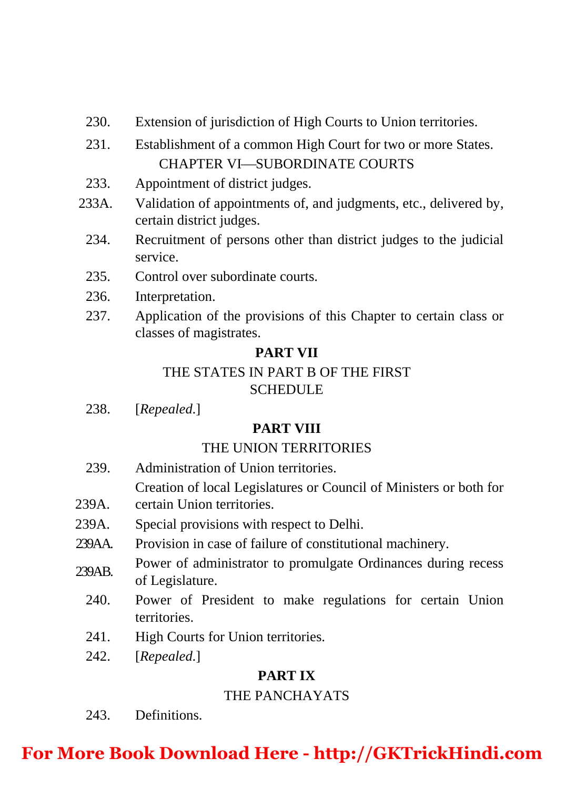- 230. Extension of jurisdiction of High Courts to Union territories.
- 231. Establishment of a common High Court for two or more States. CHAPTER VI-SUBORDINATE COURTS
- 233. Appointment of district judges.
- 233A. Validation of appointments of, and judgments, etc., delivered by, certain district judges.
	- 234. Recruitment of persons other than district judges to the judicial service.
	- 235. Control over subordinate courts.
	- 236. Interpretation.
	- 237. Application of the provisions of this Chapter to certain class or classes of magistrates.

## **PART VII**

## THE STATES IN PART B OF THE FIRST SCHEDULE

238. [*Repealed*.]

## **PART VIII**

## THE UNION TERRITORIES

239. Administration of Union territories.

Creation of local Legislatures or Council of Ministers or both for

- 239A. certain Union territories.
- 239A. Special provisions with respect to Delhi.
- 239AA. Provision in case of failure of constitutional machinery.
- 239AB. Power of administrator to promulgate Ordinances during recess of Legislature.
	- 240. Power of President to make regulations for certain Union territories.
	- 241. High Courts for Union territories.
	- 242. [*Repealed*.]

## **PART IX**

## THE PANCHAYATS

243. Definitions.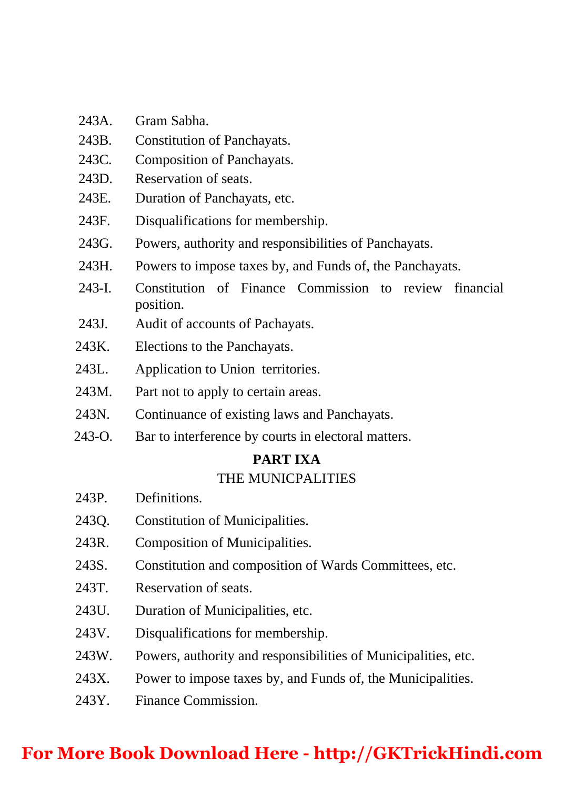- 243A. Gram Sabha.
- 243B. Constitution of Panchayats.
- 243C. Composition of Panchayats.
- 243D. Reservation of seats.
- 243E. Duration of Panchayats, etc.
- 243F. Disqualifications for membership.
- 243G. Powers, authority and responsibilities of Panchayats.
- 243H. Powers to impose taxes by, and Funds of, the Panchayats.
- 243-I. Constitution of Finance Commission to review financial position.
- 243J. Audit of accounts of Pachayats.
- 243K. Elections to the Panchayats.
- 243L. Application to Union territories.
- 243M. Part not to apply to certain areas.
- 243N. Continuance of existing laws and Panchayats.
- 243-O. Bar to interference by courts in electoral matters.

#### **PART IXA**

#### THE MUNICPALITIES

- 243P. Definitions.
- 243Q. Constitution of Municipalities.
- 243R. Composition of Municipalities.
- 243S. Constitution and composition of Wards Committees, etc.
- 243T. Reservation of seats.
- 243U. Duration of Municipalities, etc.
- 243V. Disqualifications for membership.
- 243W. Powers, authority and responsibilities of Municipalities, etc.
- 243X. Power to impose taxes by, and Funds of, the Municipalities.
- 243Y. Finance Commission.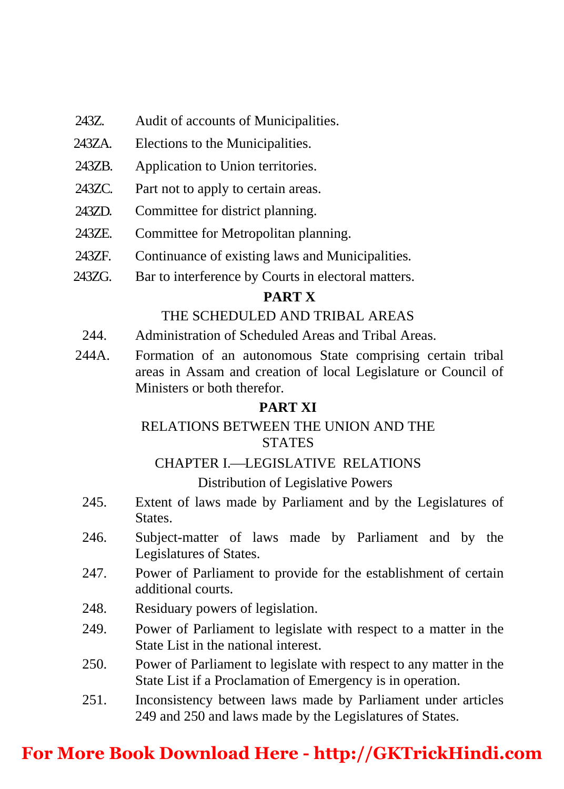- 243Z. Audit of accounts of Municipalities.
- 243ZA. Elections to the Municipalities.
- 243ZB. Application to Union territories.
- 243ZC. Part not to apply to certain areas.
- 243ZD. Committee for district planning.
- 243ZE. Committee for Metropolitan planning.
- 243ZF. Continuance of existing laws and Municipalities.
- 243ZG. Bar to interference by Courts in electoral matters.

#### **PART X**

#### THE SCHEDULED AND TRIBAL AREAS

- 244. Administration of Scheduled Areas and Tribal Areas.
- 244A. Formation of an autonomous State comprising certain tribal areas in Assam and creation of local Legislature or Council of Ministers or both therefor.

#### **PART XI**

#### RELATIONS BETWEEN THE UNION AND THE **STATES**

#### CHAPTER L—LEGISLATIVE RELATIONS

#### Distribution of Legislative Powers

- 245. Extent of laws made by Parliament and by the Legislatures of States.
- 246. Subject-matter of laws made by Parliament and by the Legislatures of States.
- 247. Power of Parliament to provide for the establishment of certain additional courts.
- 248. Residuary powers of legislation.
- 249. Power of Parliament to legislate with respect to a matter in the State List in the national interest.
- 250. Power of Parliament to legislate with respect to any matter in the State List if a Proclamation of Emergency is in operation.
- 251. Inconsistency between laws made by Parliament under articles 249 and 250 and laws made by the Legislatures of States.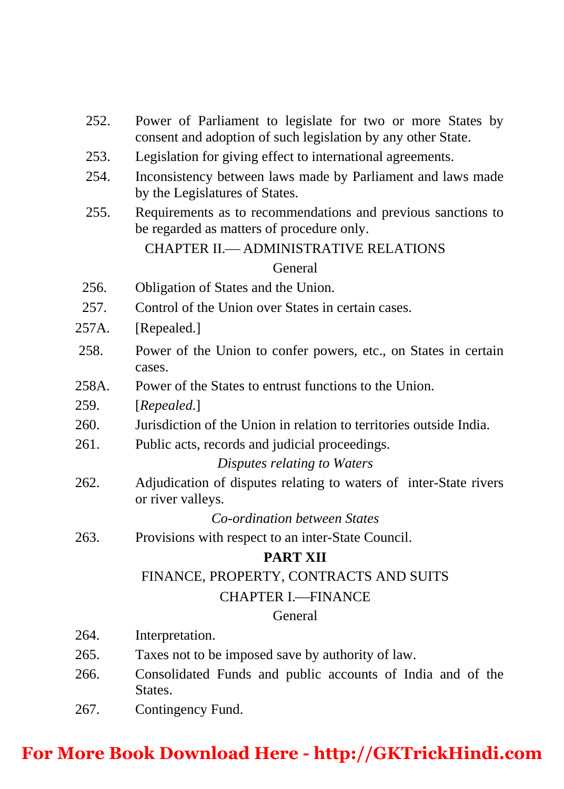- 252. Power of Parliament to legislate for two or more States by consent and adoption of such legislation by any other State.
- 253. Legislation for giving effect to international agreements.
- 254. Inconsistency between laws made by Parliament and laws made by the Legislatures of States.
- 255. Requirements as to recommendations and previous sanctions to be regarded as matters of procedure only.

### CHAPTER II. ADMINISTRATIVE RELATIONS General

- 256. Obligation of States and the Union.
- 257. Control of the Union over States in certain cases.
- 257A. [Repealed.]
- 258. Power of the Union to confer powers, etc., on States in certain cases.
- 258A. Power of the States to entrust functions to the Union.
- 259. [*Repealed*.]
- 260. Jurisdiction of the Union in relation to territories outside India.
- 261. Public acts, records and judicial proceedings.

#### *Disputes relating to Waters*

262. Adjudication of disputes relating to waters of inter-State rivers or river valleys.

#### *Co-ordination between States*

263. Provisions with respect to an inter-State Council.

#### **PART XII**

#### FINANCE, PROPERTY, CONTRACTS AND SUITS

#### CHAPTER L-FINANCE

#### General

- 264. Interpretation.
- 265. Taxes not to be imposed save by authority of law.
- 266. Consolidated Funds and public accounts of India and of the States.
- 267. Contingency Fund.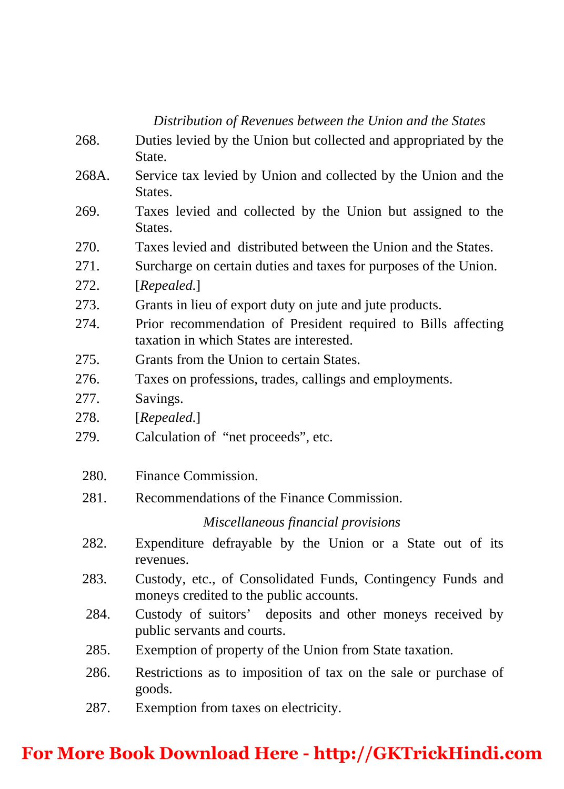#### *Distribution of Revenues between the Union and the States*

- 268. Duties levied by the Union but collected and appropriated by the State.
- 268A. Service tax levied by Union and collected by the Union and the **States**.
- 269. Taxes levied and collected by the Union but assigned to the States.
- 270. Taxes levied and distributed between the Union and the States.
- 271. Surcharge on certain duties and taxes for purposes of the Union.
- 272. [*Repealed*.]
- 273. Grants in lieu of export duty on jute and jute products.
- 274. Prior recommendation of President required to Bills affecting taxation in which States are interested.
- 275. Grants from the Union to certain States.
- 276. Taxes on professions, trades, callings and employments.
- 277. Savings.
- 278. [*Repealed*.]
- 279. Calculation of "net proceeds", etc.
	- 280. Finance Commission.
	- 281. Recommendations of the Finance Commission.

*Miscellaneous financial provisions*

- 282. Expenditure defrayable by the Union or a State out of its revenues.
- 283. Custody, etc., of Consolidated Funds, Contingency Funds and moneys credited to the public accounts.
- 284. Custody of suitors' deposits and other moneys received by public servants and courts.
- 285. Exemption of property of the Union from State taxation.
- 286. Restrictions as to imposition of tax on the sale or purchase of goods.
- 287. Exemption from taxes on electricity.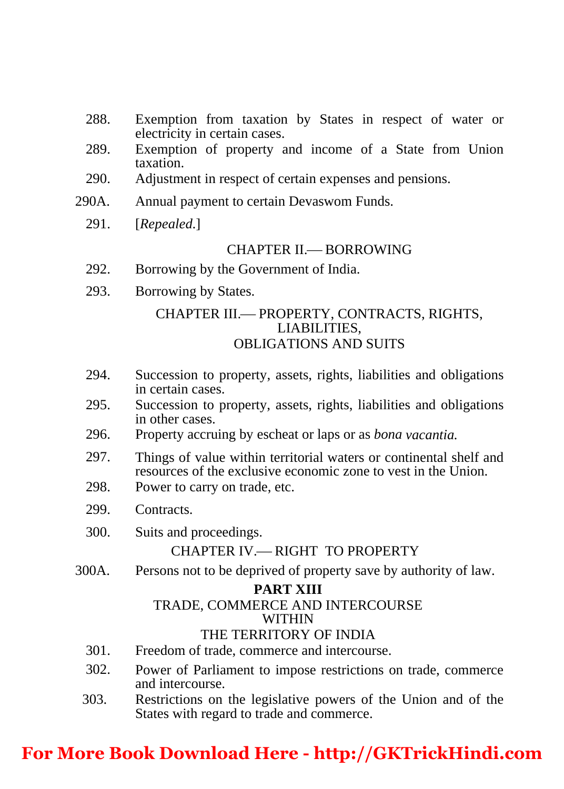- 288. Exemption from taxation by States in respect of water or electricity in certain cases.
- 289. Exemption of property and income of a State from Union taxation.
- 290. Adjustment in respect of certain expenses and pensions.
- 290A. Annual payment to certain Devaswom Funds.
	- 291. [*Repealed*.]

#### CHAPTER II. BORROWING

- 292. Borrowing by the Government of India.
- 293. Borrowing by States.

### CHAPTER III.— PROPERTY, CONTRACTS, RIGHTS, LIABILITIES, OBLIGATIONS AND SUITS

- 294. Succession to property, assets, rights, liabilities and obligations in certain cases.
- 295. Succession to property, assets, rights, liabilities and obligations in other cases.
- 296. Property accruing by escheat or laps or as *bona vacantia.*
- 297. Things of value within territorial waters or continental shelf and resources of the exclusive economic zone to vest in the Union.
- 298. Power to carry on trade, etc.
- 299. Contracts.
- 300. Suits and proceedings.

## CHAPTER IV. RIGHT TO PROPERTY

300A. Persons not to be deprived of property save by authority of law.

#### **PART XIII**

#### TRADE, COMMERCE AND INTERCOURSE WITHIN

#### THE TERRITORY OF INDIA

- 301. Freedom of trade, commerce and intercourse.
- 302. Power of Parliament to impose restrictions on trade, commerce and intercourse.
- 303. Restrictions on the legislative powers of the Union and of the States with regard to trade and commerce.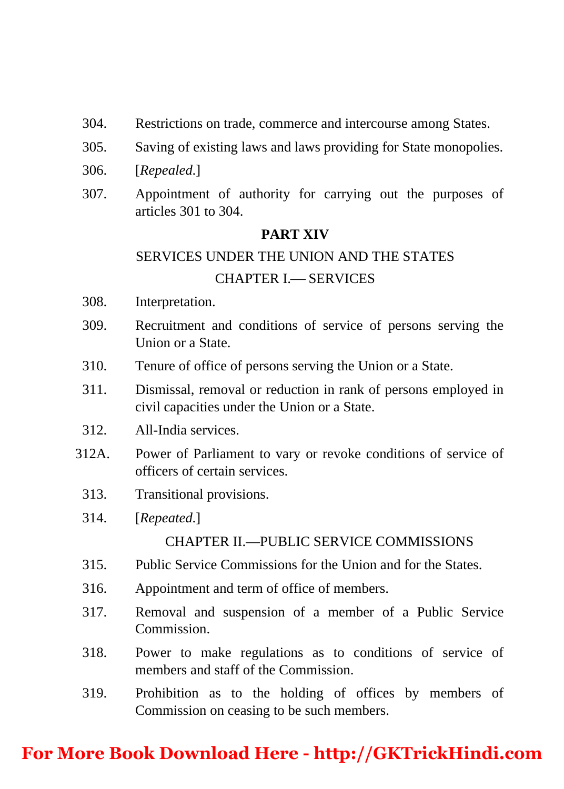- 304. Restrictions on trade, commerce and intercourse among States.
- 305. Saving of existing laws and laws providing for State monopolies.
- 306. [*Repealed*.]
- 307. Appointment of authority for carrying out the purposes of articles 301 to 304.

#### **PART XIV**

#### SERVICES UNDER THE UNION AND THE STATES

#### CHAPTER **I.** SERVICES

- 308. Interpretation.
- 309. Recruitment and conditions of service of persons serving the Union or a State.
- 310. Tenure of office of persons serving the Union or a State.
- 311. Dismissal, removal or reduction in rank of persons employed in civil capacities under the Union or a State.
- 312. All-India services.
- 312A. Power of Parliament to vary or revoke conditions of service of officers of certain services.
	- 313. Transitional provisions.
	- 314. [*Repeated*.]

### CHAPTER II.—PUBLIC SERVICE COMMISSIONS

- 315. Public Service Commissions for the Union and for the States.
- 316. Appointment and term of office of members.
- 317. Removal and suspension of a member of a Public Service Commission.
- 318. Power to make regulations as to conditions of service of members and staff of the Commission.
- 319. Prohibition as to the holding of offices by members of Commission on ceasing to be such members.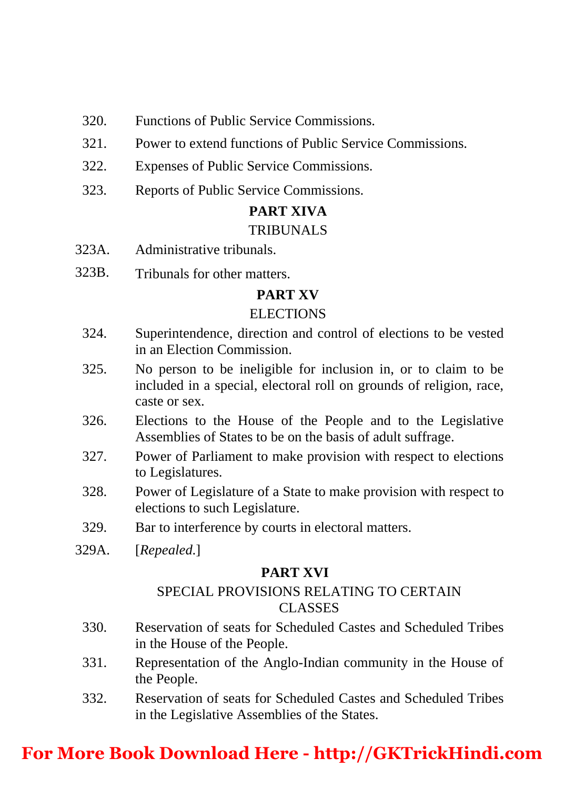- 320. Functions of Public Service Commissions.
- 321. Power to extend functions of Public Service Commissions.
- 322. Expenses of Public Service Commissions.
- 323. Reports of Public Service Commissions.

## **PART XIVA**

### TRIBUNALS

- 323A. Administrative tribunals.
- 323B. Tribunals for other matters.

## **PART XV**

### ELECTIONS

- 324. Superintendence, direction and control of elections to be vested in an Election Commission.
- 325. No person to be ineligible for inclusion in, or to claim to be included in a special, electoral roll on grounds of religion, race, caste or sex.
- 326. Elections to the House of the People and to the Legislative Assemblies of States to be on the basis of adult suffrage.
- 327. Power of Parliament to make provision with respect to elections to Legislatures.
- 328. Power of Legislature of a State to make provision with respect to elections to such Legislature.
- 329. Bar to interference by courts in electoral matters.
- 329A. [*Repealed*.]

## **PART XVI**

## SPECIAL PROVISIONS RELATING TO CERTAIN CLASSES

- 330. Reservation of seats for Scheduled Castes and Scheduled Tribes in the House of the People.
- 331. Representation of the Anglo-Indian community in the House of the People.
- 332. Reservation of seats for Scheduled Castes and Scheduled Tribes in the Legislative Assemblies of the States.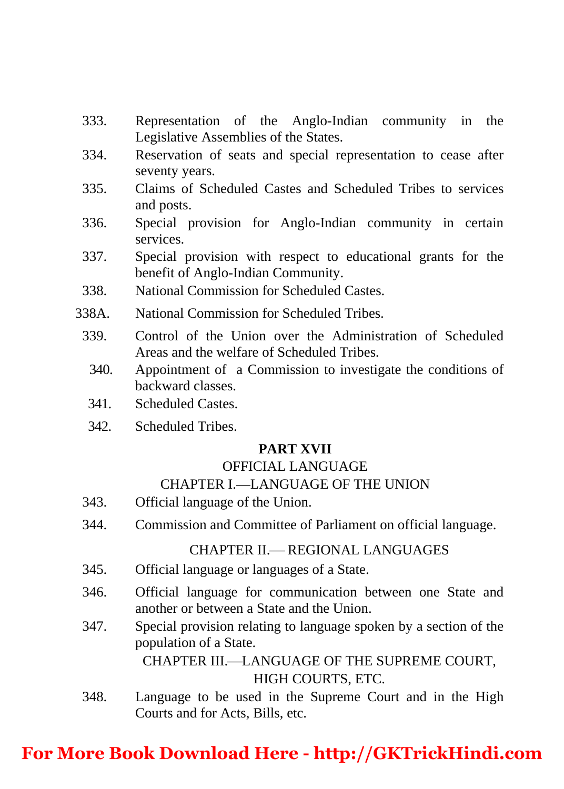- 333. Representation of the Anglo-Indian community in the Legislative Assemblies of the States.
- 334. Reservation of seats and special representation to cease after seventy years.
- 335. Claims of Scheduled Castes and Scheduled Tribes to services and posts.
- 336. Special provision for Anglo-Indian community in certain services.
- 337. Special provision with respect to educational grants for the benefit of Anglo-Indian Community.
- 338. National Commission for Scheduled Castes.
- 338A. National Commission for Scheduled Tribes.
	- 339. Control of the Union over the Administration of Scheduled Areas and the welfare of Scheduled Tribes.
		- 340. Appointment of a Commission to investigate the conditions of backward classes.
		- 341. Scheduled Castes.
		- 342. Scheduled Tribes.

## **PART XVII**

### OFFICIAL LANGUAGE

## CHAPTER I.—LANGUAGE OF THE UNION

- 343. Official language of the Union.
- 344. Commission and Committee of Parliament on official language.

## CHAPTER II. REGIONAL LANGUAGES

- 345. Official language or languages of a State.
- 346. Official language for communication between one State and another or between a State and the Union.
- 347. Special provision relating to language spoken by a section of the population of a State.

CHAPTER III.—LANGUAGE OF THE SUPREME COURT, HIGH COURTS, ETC.

 348. Language to be used in the Supreme Court and in the High Courts and for Acts, Bills, etc.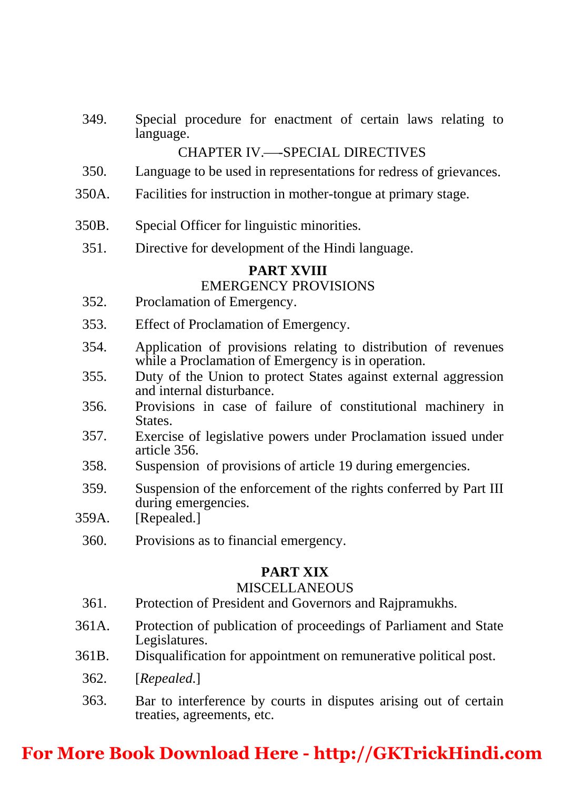349. Special procedure for enactment of certain laws relating to language.

#### CHAPTER IV.-SPECIAL DIRECTIVES

- 350. Language to be used in representations for redress of grievances.
- 350A. Facilities for instruction in mother-tongue at primary stage.
- 350B. Special Officer for linguistic minorities.
	- 351. Directive for development of the Hindi language.

#### **PART XVIII**

#### EMERGENCY PROVISIONS

- 352. Proclamation of Emergency.
- 353. Effect of Proclamation of Emergency.
- [354. Application of provisions relating to distribution of revenues while a Proclamation of Emergency is in operation.](https://goo.gl/NgRs1S.)
- 355. Duty of the Union to protect States against external aggression and internal disturbance.
- 356. Provisions in case of failure of constitutional machinery in States.
- 357. Exercise of legislative powers under Proclamation issued under article 356.
- 358. Suspension of provisions of article 19 during emergencies.
- 359. Suspension of the enforcement of the rights conferred by Part III during emergencies.
- 359A. [Repealed.]
	- 360. Provisions as to financial emergency.

#### **PART XIX**

#### **MISCELLANEOUS**

- 361. Protection of President and Governors and Rajpramukhs.
- 361A. Protection of publication of proceedings of Parliament and State Legislatures.
- 361B. Disqualification for appointment on remunerative political post.
	- 362. [*Repealed*.]
	- 363. Bar to interference by courts in disputes arising out of certain treaties, agreements, etc.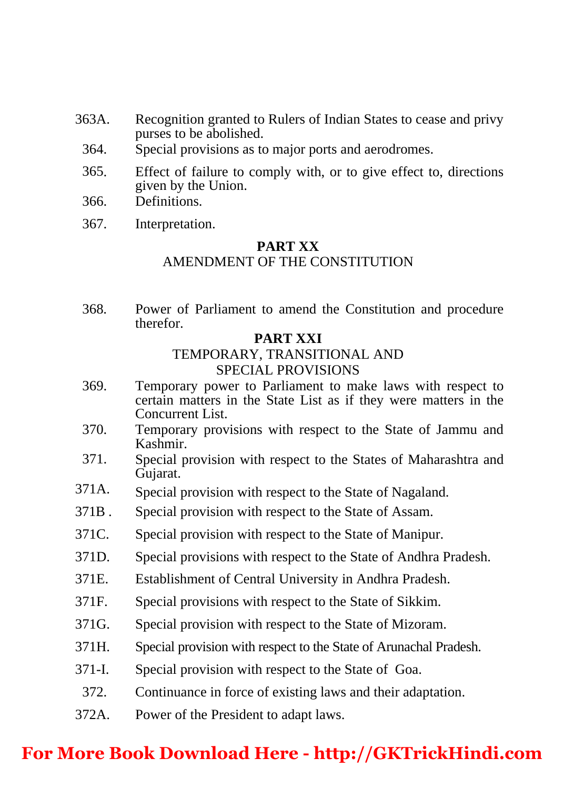- 363A. Recognition granted to Rulers of Indian States to cease and privy purses to be abolished.
	- 364. Special provisions as to major ports and aerodromes.
	- 365. Effect of failure to comply with, or to give effect to, directions given by the Union.
	- 366. Definitions.
	- 367. Interpretation.

#### **PART XX** AMENDMENT OF THE CONSTITUTION

 368. Power of Parliament to amend the Constitution and procedure therefor.

### **PART XXI**

#### TEMPORARY, TRANSITIONAL AND SPECIAL PROVISIONS

- 369. Temporary power to Parliament to make laws with respect to certain matters in the State List as if they were matters in the Concurrent List.
- 370. Temporary provisions with respect to the State of Jammu and Kashmir.
- 371. Special provision with respect to the States of Maharashtra and Gujarat.
- 371A. Special provision with respect to the State of Nagaland.
- 371B . Special provision with respect to the State of Assam.
- 371C. Special provision with respect to the State of Manipur.
- 371D. Special provisions with respect to the State of Andhra Pradesh.
- 371E. Establishment of Central University in Andhra Pradesh.
- 371F. Special provisions with respect to the State of Sikkim.
- 371G. Special provision with respect to the State of Mizoram.
- 371H. Special provision with respect to the State of Arunachal Pradesh.
- 371-I. Special provision with respect to the State of Goa.
- 372. Continuance in force of existing laws and their adaptation.
- 372A. Power of the President to adapt laws.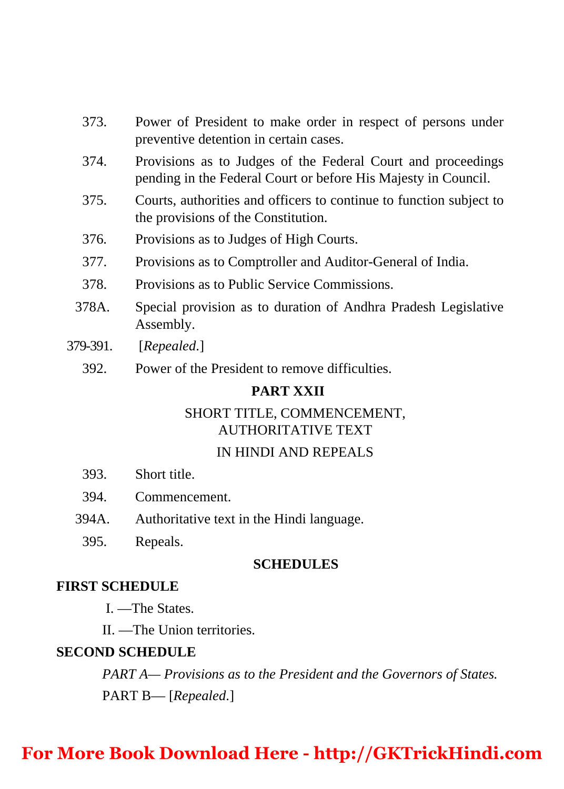- 373. Power of President to make order in respect of persons under preventive detention in certain cases.
- 374. Provisions as to Judges of the Federal Court and proceedings pending in the Federal Court or before His Majesty in Council.
- 375. Courts, authorities and officers to continue to function subject to the provisions of the Constitution.
- 376. Provisions as to Judges of High Courts.
- 377. Provisions as to Comptroller and Auditor-General of India.
- 378. Provisions as to Public Service Commissions.
- 378A. Special provision as to duration of Andhra Pradesh Legislative Assembly.
- 379-391. [*Repealed*.]
	- 392. Power of the President to remove difficulties.

#### **PART XXII**

### SHORT TITLE, COMMENCEMENT, AUTHORITATIVE TEXT

#### IN HINDI AND REPEALS

- 393. Short title.
- 394. Commencement.
- 394A. Authoritative text in the Hindi language.
	- 395. Repeals.

#### **SCHEDULES**

### **FIRST SCHEDULE**

- I. —The States.
- II. —The Union territories.

#### **SECOND SCHEDULE**

 *PART A— Provisions as to the President and the Governors of States.*  PART B— [*Repealed*.]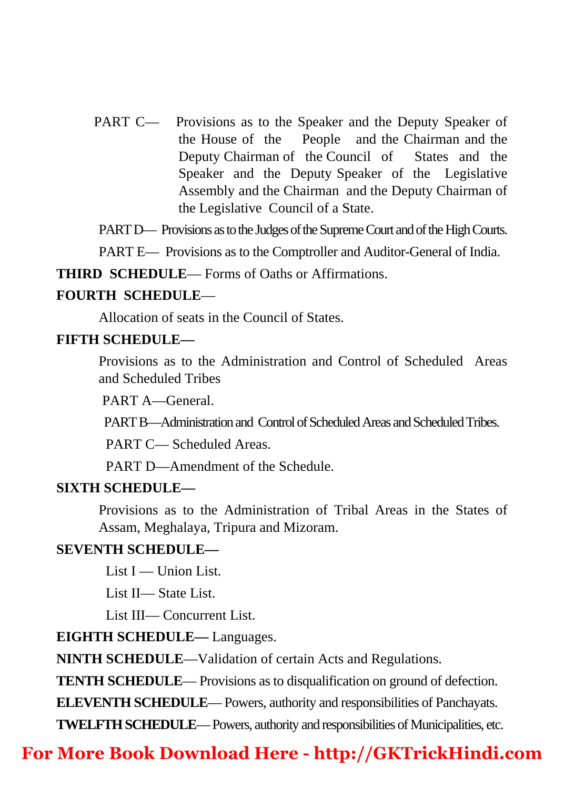PART C— Provisions as to the Speaker and the Deputy Speaker of the House of the People and the Chairman and the Deputy Chairman of the Council of States and the Speaker and the Deputy Speaker of the Legislative Assembly and the Chairman and the Deputy Chairman of the Legislative Council of a State.

PART D— Provisions as to the Judges of the Supreme Court and of the High Courts.

PART E— Provisions as to the Comptroller and Auditor-General of India.

**THIRD SCHEDULE**— Forms of Oaths or Affirmations.

#### **FOURTH SCHEDULE**—

Allocation of seats in the Council of States.

#### **FIFTH SCHEDULE—**

Provisions as to the Administration and Control of Scheduled Areas and Scheduled Tribes

PART A—General.

PART B—Administration and Control of Scheduled Areas and Scheduled Tribes.

PART C— Scheduled Areas.

PART D—Amendment of the Schedule.

#### **SIXTH SCHEDULE—**

Provisions as to the Administration of Tribal Areas in the States of Assam, Meghalaya, Tripura and Mizoram.

#### **SEVENTH SCHEDULE—**

List I — Union List.

List II— State List.

List III— Concurrent List.

#### **EIGHTH SCHEDULE—** Languages.

**NINTH SCHEDULE**—Validation of certain Acts and Regulations.

**TENTH SCHEDULE**— Provisions as to disqualification on ground of defection.

**ELEVENTH SCHEDULE**— Powers, authority and responsibilities of Panchayats.

**TWELFTH SCHEDULE**— Powers, authority and responsibilities of Municipalities, etc.